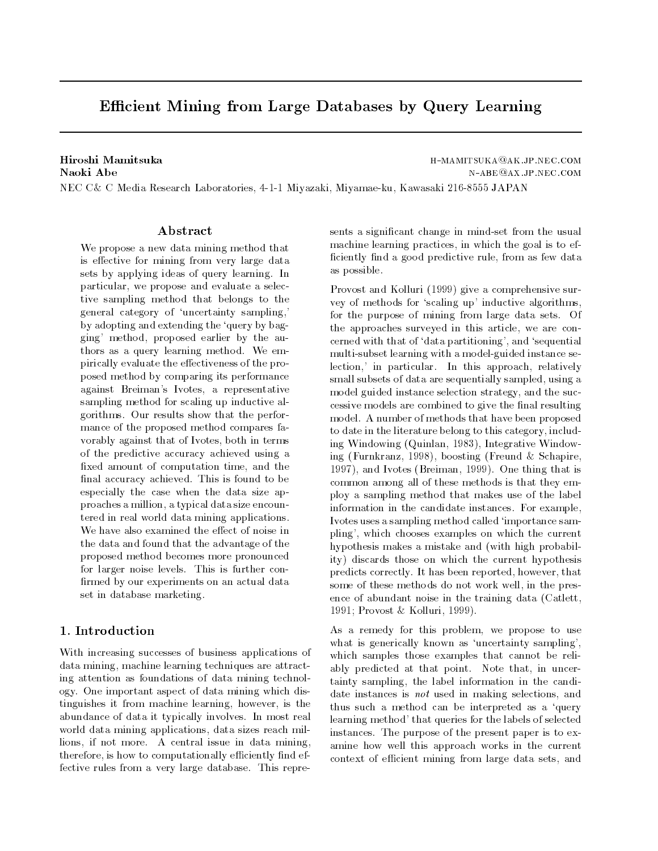# Efficient Mining from Large Databases by Query Learning

Hiroshi Mamitsuka H-MAMITSUKA@AK.JP.NEC.COM Naoki Abe N-ABE@AX.JP.NEC.COM NEC C& C Media Research Laboratories, 4-1-1 Miyazaki, Miyamae-ku, Kawasaki 216-8555 JAPAN

# Abstract

We propose a new data mining method that is effective for mining from very large data sets by applying ideas of query learning. In particular, we propose and evaluate a selective sampling method that belongs to the general category of 'uncertainty sampling,' by adopting and extending the 'query by bagging' method, proposed earlier by the authors as a query learning method. We empirically evaluate the effectiveness of the proposed method by comparing its performance against Breiman's Ivotes, a representative sampling method for scaling up inductive algorithms. Our results show that the performance of the proposed method compares favorably against that of Ivotes, both in terms of the predictive accuracy achieved using a fixed amount of computation time, and the final accuracy achieved. This is found to be especially the case when the data size approaches a million, a typical data size encountered in real world data mining applications. We have also examined the effect of noise in the data and found that the advantage of the proposed method becomes more pronounced for larger noise levels. This is further confirmed by our experiments on an actual data set in database marketing.

# 1. Introduction

With increasing successes of business applications of data mining, machine learning techniques are attracting attention as foundations of data mining technology. One important aspect of data mining which distinguishes it from machine learning, however, is the abundance of data it typically involves. In most real world data mining applications, data sizes reach millions, if not more. A central issue in data mining, therefore, is how to computationally efficiently find effective rules from a very large database. This represents a significant change in mind-set from the usual machine learning practices, in which the goal is to efficiently find a good predictive rule, from as few data as possible.

Provost and Kolluri (1999) give a comprehensive survey of methods for 'scaling up' inductive algorithms, for the purpose of mining from large data sets. Of the approaches surveyed in this article, we are concerned with that of 'data partitioning', and 'sequential multi-subset learning with a model-guided instance selection,' in particular. In this approach, relatively small subsets of data are sequentially sampled, using a model guided instance selection strategy, and the successive models are combined to give the final resulting model. A number of methods that have been proposed to date in the literature belong to this category, including Windowing (Quinlan, 1983), Integrative Windowing (Furnkranz, 1998), boosting (Freund & Schapire, 1997), and Ivotes (Breiman, 1999). One thing that is common among all of these methods is that they employ a sampling method that makes use of the label information in the candidate instances. For example, Ivotes uses a sampling method called 'importance sampling', which chooses examples on which the current hypothesis makes a mistake and (with high probability) discards those on which the current hypothesis predicts correctly. It has been reported, however, that some of these methods do not work well, in the presence of abundant noise in the training data (Catlett, 1991; Provost & Kolluri, 1999).

As a remedy for this problem, we propose to use what is generically known as 'uncertainty sampling', which samples those examples that cannot be reliably predicted at that point. Note that, in uncertainty sampling, the label information in the candidate instances is *not* used in making selections, and thus such a method can be interpreted as a 'query learning method' that queries for the labels of selected instances. The purpose of the present paper is to examine how well this approach works in the current context of efficient mining from large data sets, and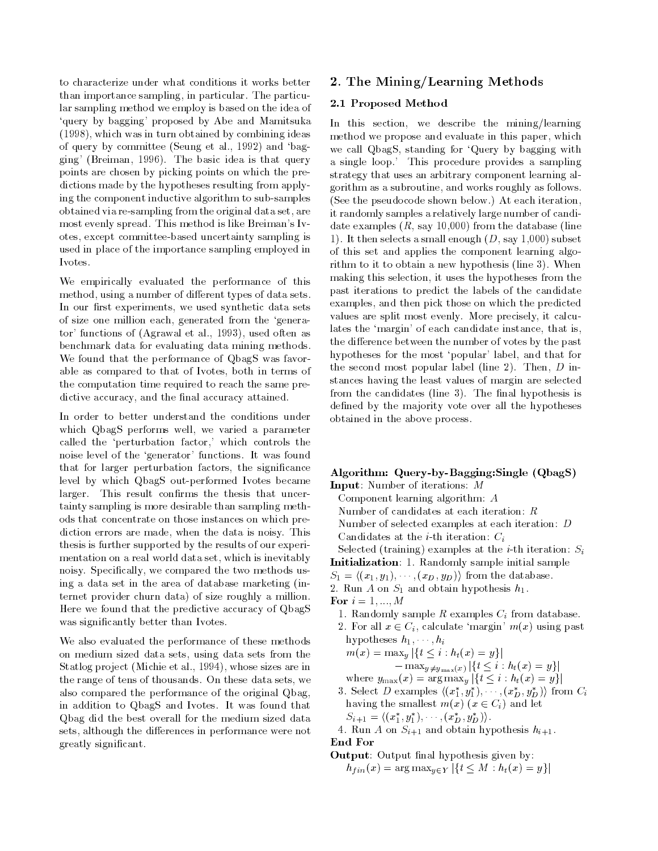to characterize under what conditions it works better than importance sampling, in particular. The particular sampling method we employ is based on the idea of 'query by bagging' proposed by Abe and Mamitsuka (1998), which was in turn obtained by combining ideas of query by committee (Seung et al., 1992) and 'bagging' (Breiman, 1996). The basic idea is that query points are chosen by picking points on which the predictions made by the hypotheses resulting from applying the component inductive algorithm to sub-samples obtained via re-sampling from the original data set, are most evenly spread. This method is like Breiman's Ivotes, except committee-based uncertainty sampling is used in place of the importance sampling employed in Ivotes.

We empirically evaluated the performance of this method, using a number of different types of data sets. In our first experiments, we used synthetic data sets of size one million each, generated from the 'generator' functions of (Agrawal et al., 1993), used often as benchmark data for evaluating data mining methods. We found that the performance of QbagS was favorable as compared to that of Ivotes, both in terms of the computation time required to reach the same predictive accuracy, and the final accuracy attained.

In order to better understand the conditions under which QbagS performs well, we varied a parameter called the 'perturbation factor,' which controls the noise level of the 'generator' functions. It was found that for larger perturbation factors, the significance level by which QbagS out-performed Ivotes became larger. This result confirms the thesis that uncertainty sampling is more desirable than sampling methods that concentrate on those instances on which prediction errors are made, when the data is noisy. This thesis is further supported by the results of our experimentation on a real world data set, which is inevitably noisy. Specifically, we compared the two methods using a data set in the area of database marketing (internet provider churn data) of size roughly a million. Here we found that the predictive accuracy of QbagS was significantly better than Ivotes.

We also evaluated the performance of these methods on medium sized data sets, using data sets from the Statlog project (Michie et al., 1994), whose sizes are in the range of tens of thousands. On these data sets, we also compared the performance of the original Qbag, in addition to QbagS and Ivotes. It was found that Qbag did the best overall for the medium sized data sets, although the differences in performance were not greatly significant.

# 2. The Mining/Learning Methods

## 2.1 Proposed Method

In this section, we describe the mining/learning method we propose and evaluate in this paper, which we call QbagS, standing for 'Query by bagging with a single loop.' This procedure provides a sampling strategy that uses an arbitrary component learning algorithm as a subroutine, and works roughly as follows. (See the pseudocode shown below.) At each iteration, it randomly samples a relatively large number of candidate examples  $(R, say 10,000)$  from the database (line 1). It then selects a small enough  $(D, say 1,000)$  subset of this set and applies the component learning algorithm to it to obtain a new hypothesis (line 3). When making this selection, it uses the hypotheses from the past iterations to predict the labels of the candidate examples, and then pick those on which the predicted values are split most evenly. More precisely, it calculates the 'margin' of each candidate instance, that is. the difference between the number of votes by the past hypotheses for the most 'popular' label, and that for the second most popular label (line 2). Then,  $D$  instances having the least values of margin are selected from the candidates (line 3). The final hypothesis is defined by the majority vote over all the hypotheses obtained in the above process.

#### Algorithm: Query-by-Bagging:Single (QbagS)

- **Input:** Number of iterations: M
- Component learning algorithm: A
- Number of candidates at each iteration:  $R$
- Number of selected examples at each iteration: D Candidates at the *i*-th iteration:  $C_i$

Selected (training) examples at the *i*-th iteration:  $S_i$ Initialization: 1. Randomly sample initial sample  $S_1 = \langle (x_1, y_1), \cdots, (x_D, y_D) \rangle$  from the database.

- 2. Run A on  $S_1$  and obtain hypothesis  $h_1$ .
- For  $i=1,...,M$ 
	- 1. Randomly sample R examples  $C_i$  from database.
- 2. For all  $x \in C_i$ , calculate 'margin'  $m(x)$  using past hypotheses  $h_1, \dots, h_i$ 
	- $m(x) = \max_{y} |\{t \leq i : h_t(x) = y\}|$  $-\max_{y \neq y_{\max}(x)} |\{t \leq i : h_t(x) = y\}|$

where  $y_{\max}(x) = \arg \max_y | \{ t \leq i : h_t(x) = y \} |$ 

3. Select D examples  $\langle (x_1^*, y_1^*), \cdots, (x_D^*, y_D^*) \rangle$  from  $C_i$ having the smallest  $m(x)$   $(x \in C_i)$  and let

$$
S_{i+1} = \langle (x_1^*, y_1^*), \cdots, (x_D^*, y_D^*) \rangle
$$

4. Run A on  $S_{i+1}$  and obtain hypothesis  $h_{i+1}$ . End For

- **Output:** Output final hypothesis given by:
	- $h_{fin}(x) = \arg \max_{y \in Y} |\{t \leq M : h_t(x) = y\}|$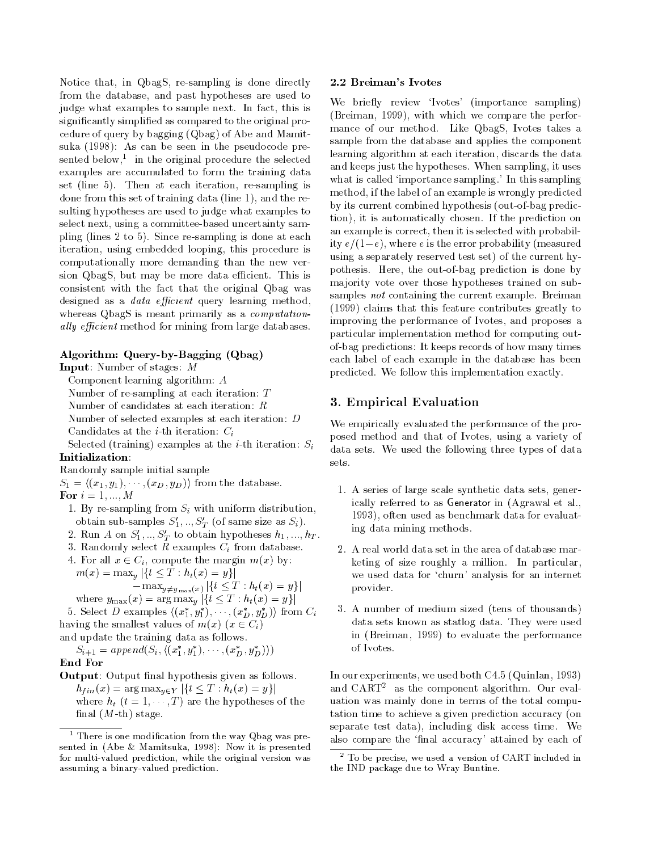Notice that, in QbagS, re-sampling is done directly from the database, and past hypotheses are used to judge what examples to sample next. In fact, this is significantly simplified as compared to the original procedure of query by bagging (Qbag) of Abe and Mamitsuka (1998): As can be seen in the pseudocode presented below,<sup>1</sup> in the original procedure the selected examples are accumulated to form the training data set (line 5). Then at each iteration, re-sampling is done from this set of training data (line 1), and the resulting hypotheses are used to judge what examples to select next, using a committee-based uncertainty sampling (lines 2 to 5). Since re-sampling is done at each iteration, using embedded looping, this procedure is computationally more demanding than the new version QbagS, but may be more data efficient. This is consistent with the fact that the original Qbag was designed as a *data efficient* query learning method, whereas QbagS is meant primarily as a *computationally efficient* method for mining from large databases.

## Algorithm: Query-by-Bagging (Qbag)

#### **Input:** Number of stages: M

Component learning algorithm: A

- Number of re-sampling at each iteration:  $T$ Number of candidates at each iteration:  $R$
- Number of selected examples at each iteration: D Candidates at the *i*-th iteration:  $C_i$
- Selected (training) examples at the *i*-th iteration:  $S_i$ Initialization:

Randomly sample initial sample

 $S_1 = \langle (x_1, y_1), \dots, (x_D, y_D) \rangle$  from the database. For  $i = 1, ..., M$ 

- 1. By re-sampling from  $S_i$  with uniform distribution, obtain sub-samples  $S'_1, ..., S'_T$  (of same size as  $S_i$ ).
- 2. Run A on  $S'_1, ..., S'_T$  to obtain hypotheses  $h_1, ..., h_T$ .
- 3. Randomly select R examples  $C_i$  from database.
- 4. For all  $x \in C_i$ , compute the margin  $m(x)$  by:

$$
m(x) = \max_{y} |\{t \leq T : h_t(x) = y\}|
$$
  
- 
$$
\max_{y \neq y_{\max}(x)} |\{t \leq T : h_t(x) = y\}|
$$

where  $y_{\max}(x) = \arg \max_y |\{t \leq T : h_t(x) = y\}|$ 5. Select D examples  $\langle (x_1^*, y_1^*), \cdots, (x_D^*, y_D^*) \rangle$  from  $C_i$ having the smallest values of  $m(x)$   $(x \in C_i)$ and update the training data as follows.

 $S_{i+1} = append(S_i, \langle (x_1^*, y_1^*), \cdots, (x_D^*, y_D^*) \rangle)$ End For

Output: Output final hypothesis given as follows.  $h_{fin}(x) = \arg \max_{y \in Y} |\{t \leq T : h_t(x) = y\}|$ where  $h_t$   $(t = 1, \dots, T)$  are the hypotheses of the final  $(M$ -th) stage.

#### 2.2 Breiman's Ivotes

We briefly review 'Ivotes' (importance sampling) (Breiman, 1999), with which we compare the performance of our method. Like QbagS, Ivotes takes a sample from the database and applies the component learning algorithm at each iteration, discards the data and keeps just the hypotheses. When sampling, it uses what is called 'importance sampling.' In this sampling method, if the label of an example is wrongly predicted by its current combined hypothesis (out-of-bag prediction), it is automatically chosen. If the prediction on an example is correct, then it is selected with probability  $e/(1-e)$ , where e is the error probability (measured using a separately reserved test set) of the current hypothesis. Here, the out-of-bag prediction is done by majority vote over those hypotheses trained on subsamples not containing the current example. Breiman (1999) claims that this feature contributes greatly to improving the performance of Ivotes, and proposes a particular implementation method for computing outof-bag predictions: It keeps records of how many times each label of each example in the database has been predicted. We follow this implementation exactly.

# 3. Empirical Evaluation

We empirically evaluated the performance of the proposed method and that of Ivotes, using a variety of data sets. We used the following three types of data sets.

- 1. A series of large scale synthetic data sets, generically referred to as Generator in (Agrawal et al., 1993), often used as benchmark data for evaluating data mining methods.
- 2. A real world data set in the area of database marketing of size roughly a million. In particular, we used data for 'churn' analysis for an internet provider.
- 3. A number of medium sized (tens of thousands) data sets known as statlog data. They were used in (Breiman, 1999) to evaluate the performance of Ivotes.

In our experiments, we used both  $C4.5$  (Quinlan, 1993) and CART<sup>2</sup> as the component algorithm. Our evaluation was mainly done in terms of the total computation time to achieve a given prediction accuracy (on separate test data), including disk access time. We also compare the 'final accuracy' attained by each of

<sup>&</sup>lt;sup>1</sup> There is one modification from the way Qbag was presented in (Abe & Mamitsuka, 1998): Now it is presented for multi-valued prediction, while the original version was assuming a binary-valued prediction.

<sup>&</sup>lt;sup>2</sup> To be precise, we used a version of CART included in the IND package due to Wray Buntine.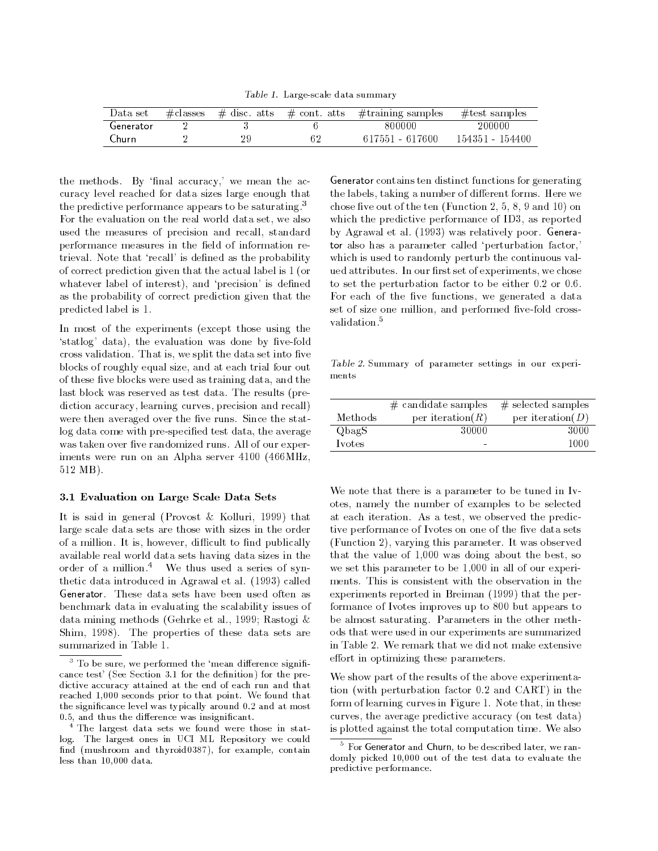Table 1. Large-scale data summary

| Data set  |    | $\#$ classes $\#$ disc. atts $\#$ cont. atts $\#$ training samples | $\#$ test samples  |
|-----------|----|--------------------------------------------------------------------|--------------------|
| Generator |    | 800000                                                             | 200000             |
| Churn     | 29 | 617551 - 617600                                                    | -154351 - 154400 - |

the methods. By 'final accuracy,' we mean the accuracy level reached for data sizes large enough that the predictive performance appears to be saturating.<sup>3</sup> For the evaluation on the real world data set, we also used the measures of precision and recall, standard performance measures in the field of information retrieval. Note that 'recall' is defined as the probability of correct prediction given that the actual label is 1 (or whatever label of interest), and 'precision' is defined as the probability of correct prediction given that the predicted label is 1.

In most of the experiments (except those using the 'statlog' data), the evaluation was done by five-fold cross validation. That is, we split the data set into five blocks of roughly equal size, and at each trial four out of these five blocks were used as training data, and the last block was reserved as test data. The results (prediction accuracy, learning curves, precision and recall) were then averaged over the five runs. Since the statlog data come with pre-specified test data, the average was taken over five randomized runs. All of our experiments were run on an Alpha server 4100 (466MHz, 512 MB).

#### 3.1 Evaluation on Large Scale Data Sets

It is said in general (Provost & Kolluri, 1999) that large scale data sets are those with sizes in the order of a million. It is, however, difficult to find publically available real world data sets having data sizes in the order of a million.<sup>4</sup> We thus used a series of synthetic data introduced in Agrawal et al. (1993) called Generator. These data sets have been used often as benchmark data in evaluating the scalability issues of data mining methods (Gehrke et al., 1999; Rastogi & Shim, 1998). The properties of these data sets are summarized in Table 1.

Generator contains ten distinct functions for generating the labels, taking a number of different forms. Here we chose five out of the ten (Function  $2, 5, 8, 9$  and  $10$ ) on which the predictive performance of ID3, as reported by Agrawal et al. (1993) was relatively poor. Generator also has a parameter called 'perturbation factor,' which is used to randomly perturb the continuous valued attributes. In our first set of experiments, we chose to set the perturbation factor to be either 0.2 or 0.6. For each of the five functions, we generated a data set of size one million, and performed five-fold crossvalidation.<sup>5</sup>

Table 2. Summary of parameter settings in our experiments

|               | $#$ candidate samples | $#$ selected samples |
|---------------|-----------------------|----------------------|
| Methods       | per iteration( $R$ )  | per iteration( $D$ ) |
| QbagS         | 30000                 | 3000                 |
| <b>Ivotes</b> |                       | 1000                 |

We note that there is a parameter to be tuned in Ivotes, namely the number of examples to be selected at each iteration. As a test, we observed the predictive performance of Ivotes on one of the five data sets (Function 2), varying this parameter. It was observed that the value of 1,000 was doing about the best, so we set this parameter to be 1,000 in all of our experiments. This is consistent with the observation in the experiments reported in Breiman (1999) that the performance of Ivotes improves up to 800 but appears to be almost saturating. Parameters in the other methods that were used in our experiments are summarized in Table 2. We remark that we did not make extensive effort in optimizing these parameters.

We show part of the results of the above experimentation (with perturbation factor 0.2 and CART) in the form of learning curves in Figure 1. Note that, in these curves, the average predictive accuracy (on test data) is plotted against the total computation time. We also

<sup>&</sup>lt;sup>3</sup> To be sure, we performed the 'mean difference significance test' (See Section 3.1 for the definition) for the predictive accuracy attained at the end of each run and that reached 1,000 seconds prior to that point. We found that the significance level was typically around 0.2 and at most 0.5, and thus the difference was insignificant.

<sup>&</sup>lt;sup>4</sup> The largest data sets we found were those in statlog. The largest ones in UCI ML Repository we could find (mushroom and thyroid0387), for example, contain less than 10,000 data.

<sup>&</sup>lt;sup>5</sup> For Generator and Churn, to be described later, we randomly picked 10,000 out of the test data to evaluate the predictive performance.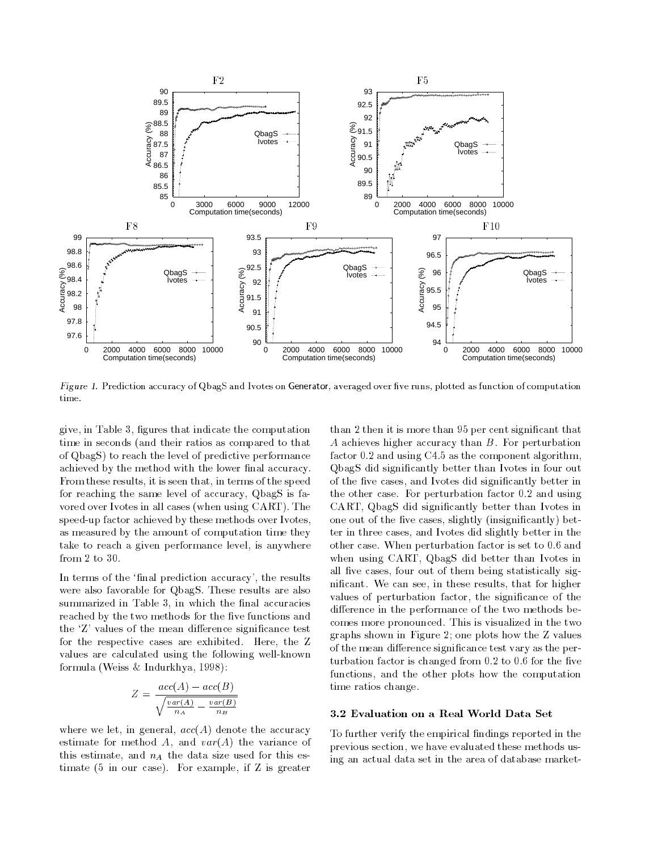

Figure 1. Prediction accuracy of QbagS and Ivotes on Generator, averaged over five runs, plotted as function of computation time.

give, in Table 3, figures that indicate the computation time in seconds (and their ratios as compared to that of QbagS) to reach the level of predictive performance achieved by the method with the lower final accuracy. From these results, it is seen that, in terms of the speed for reaching the same level of accuracy, QbagS is favored over Ivotes in all cases (when using CART). The speed-up factor achieved by these methods over Ivotes, as measured by the amount of computation time they take to reach a given performance level, is anywhere from  $2$  to  $30$ .

In terms of the 'final prediction accuracy', the results were also favorable for QbagS. These results are also summarized in Table 3, in which the final accuracies reached by the two methods for the five functions and the 'Z' values of the mean difference significance test for the respective cases are exhibited. Here, the Z values are calculated using the following well-known formula (Weiss & Indurkhya, 1998):

$$
Z = \frac{acc(A) - acc(B)}{\sqrt{\frac{var(A)}{n_A} - \frac{var(B)}{n_B}}}
$$

where we let, in general,  $acc(A)$  denote the accuracy estimate for method A, and  $var(A)$  the variance of this estimate, and  $n_A$  the data size used for this estimate  $(5 \text{ in our case})$ . For example, if Z is greater

than 2 then it is more than 95 per cent significant that A achieves higher accuracy than B. For perturbation factor 0.2 and using  $C4.5$  as the component algorithm, QbagS did significantly better than Ivotes in four out of the five cases, and Ivotes did significantly better in the other case. For perturbation factor 0.2 and using CART, QbagS did significantly better than Ivotes in one out of the five cases, slightly (insignificantly) better in three cases, and Ivotes did slightly better in the other case. When perturbation factor is set to 0.6 and when using CART, QbagS did better than Ivotes in all five cases, four out of them being statistically significant. We can see, in these results, that for higher values of perturbation factor, the significance of the difference in the performance of the two methods becomes more pronounced. This is visualized in the two graphs shown in Figure 2; one plots how the Z values of the mean difference significance test vary as the perturbation factor is changed from 0.2 to 0.6 for the five functions, and the other plots how the computation time ratios change.

#### 3.2 Evaluation on a Real World Data Set

To further verify the empirical findings reported in the previous section, we have evaluated these methods using an actual data set in the area of database market-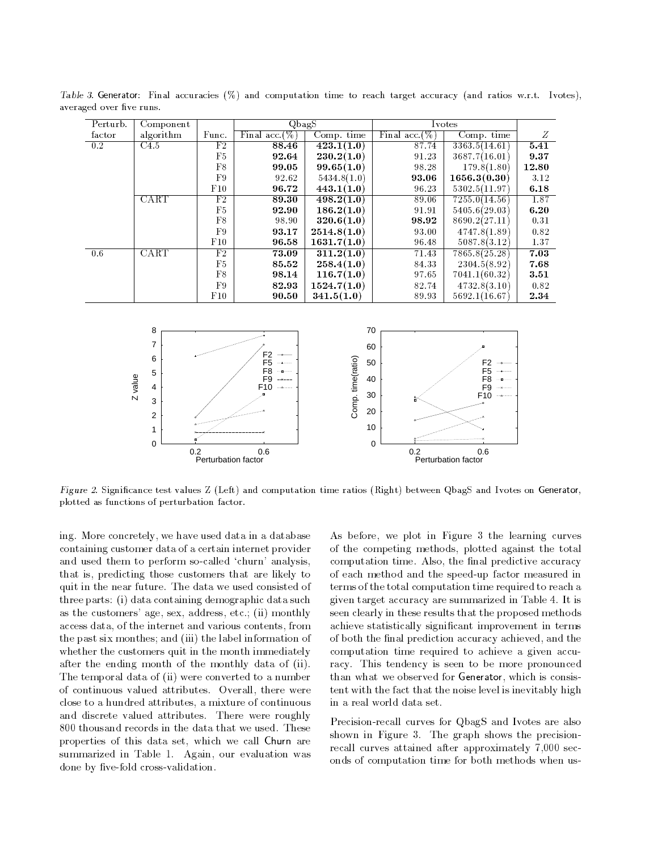| Perturb.         | Component |       | QbagS             |             | Ivotes            |               |       |
|------------------|-----------|-------|-------------------|-------------|-------------------|---------------|-------|
|                  |           |       |                   |             |                   |               |       |
| factor           | algorithm | Func. | Final acc. $(\%)$ | Comp. time  | Final acc. $(\%)$ | Comp. time    | Z     |
| $\overline{0.2}$ | C4.5      | F2.   | 88.46             | 423.1(1.0)  | 87.74             | 3363.5(14.61) | 5.41  |
|                  |           | F5    | 92.64             | 230.2(1.0)  | 91.23             | 3687.7(16.01) | 9.37  |
|                  |           | F8    | 99.05             | 99.65(1.0)  | 98.28             | 179.8(1.80)   | 12.80 |
|                  |           | F9.   | 92.62             | 5434.8(1.0) | 93.06             | 1656.3(0.30)  | 3.12  |
|                  |           | F10   | 96.72             | 443.1(1.0)  | 96.23             | 5302.5(11.97) | 6.18  |
|                  | CART      | F2.   | 89.30             | 498.2(1.0)  | 89.06             | 7255.0(14.56) | 1.87  |
|                  |           | F5    | 92.90             | 186.2(1.0)  | 91.91             | 5405.6(29.03) | 6.20  |
|                  |           | F8    | 98.90             | 320.6(1.0)  | 98.92             | 8690.2(27.11) | 0.31  |
|                  |           | F9.   | 93.17             | 2514.8(1.0) | 93.00             | 4747.8(1.89)  | 0.82  |
|                  |           | F10   | 96.58             | 1631.7(1.0) | 96.48             | 5087.8(3.12)  | 1.37  |
| 0.6              | CART      | F2    | 73.09             | 311.2(1.0)  | 71.43             | 7865.8(25.28) | 7.03  |
|                  |           | F5    | 85.52             | 258.4(1.0)  | 84.33             | 2304.5(8.92)  | 7.68  |
|                  |           | F8    | 98.14             | 116.7(1.0)  | 97.65             | 7041.1(60.32) | 3.51  |
|                  |           | F9    | 82.93             | 1524.7(1.0) | 82.74             | 4732.8(3.10)  | 0.82  |
|                  |           | F10.  | 90.50             | 341.5(1.0)  | 89.93             | 5692.1(16.67) | 2.34  |

Table 3. Generator: Final accuracies (%) and computation time to reach target accuracy (and ratios w.r.t. Ivotes), averaged over five runs.



Figure 2. Significance test values Z (Left) and computation time ratios (Right) between QbagS and Ivotes on Generator, plotted as functions of perturbation factor.

ing. More concretely, we have used data in a database containing customer data of a certain internet provider and used them to perform so-called 'churn' analysis, that is, predicting those customers that are likely to quit in the near future. The data we used consisted of three parts: (i) data containing demographic data such as the customers' age, sex, address, etc.; (ii) monthly access data, of the internet and various contents, from the past six monthes; and (iii) the label information of whether the customers quit in the month immediately after the ending month of the monthly data of (ii). The temporal data of (ii) were converted to a number of continuous valued attributes. Overall, there were close to a hundred attributes, a mixture of continuous and discrete valued attributes. There were roughly 800 thousand records in the data that we used. These properties of this data set, which we call Churn are summarized in Table 1. Again, our evaluation was done by five-fold cross-validation.

As before, we plot in Figure 3 the learning curves of the competing methods, plotted against the total computation time. Also, the final predictive accuracy of each method and the speed-up factor measured in terms of the total computation time required to reach a given target accuracy are summarized in Table 4. It is seen clearly in these results that the proposed methods achieve statistically significant improvement in terms of both the final prediction accuracy achieved, and the computation time required to achieve a given accuracy. This tendency is seen to be more pronounced than what we observed for Generator, which is consistent with the fact that the noise level is inevitably high in a real world data set.

Precision-recall curves for QbagS and Ivotes are also shown in Figure 3. The graph shows the precisionrecall curves attained after approximately 7,000 seconds of computation time for both methods when us-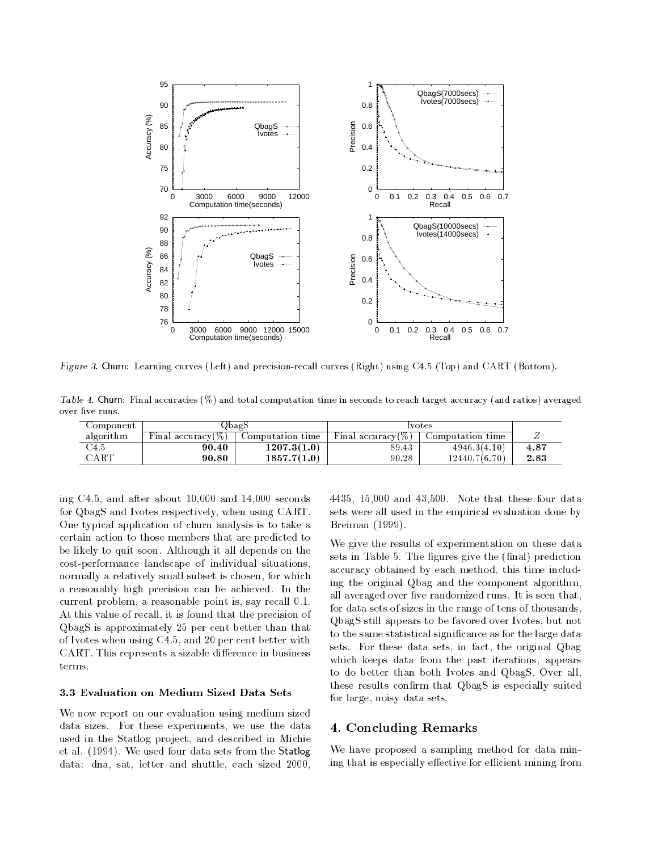

Figure 3. Churn: Learning curves (Left) and precision-recall curves (Right) using C4.5 (Top) and CART (Bottom).

Table 4. Churn: Final accuracies (%) and total computation time in seconds to reach target accuracy (and ratios) averaged over five runs.

| Component-             |                   | JbagS            | Ivotes                |                  |      |
|------------------------|-------------------|------------------|-----------------------|------------------|------|
| algorithm              | Final accuracy(%) | Computation time | Final accuracy $(\%)$ | Computation time |      |
| $\mathbin{\supset}4.5$ | 90.40             | 1207.3(1.0)      | 89.43                 | 4946.3(4.10)     | 4.87 |
| CART                   | 90.80             | 1857.7(1.0)      | 90.28                 | 12440.7(6.70)    | 2.83 |

ing  $C4.5$ , and after about 10,000 and 14,000 seconds for QbagS and Ivotes respectively, when using CART. One typical application of churn analysis is to take a certain action to those members that are predicted to be likely to quit soon. Although it all depends on the cost-performance landscape of individual situations, normally a relatively small subset is chosen, for which a reasonably high precision can be achieved. In the current problem, a reasonable point is, say recall 0.1. At this value of recall, it is found that the precision of QbagS is approximately 25 per cent better than that of Ivotes when using C4.5, and 20 per cent better with CART. This represents a sizable difference in business terms.

#### 3.3 Evaluation on Medium Sized Data Sets

We now report on our evaluation using medium sized data sizes. For these experiments, we use the data used in the Statlog project, and described in Michie et al. (1994). We used four data sets from the Statlog data: dna, sat, letter and shuttle, each sized 2000,  $4435, 15,000$  and  $43,500$ . Note that these four data sets were all used in the empirical evaluation done by Breiman (1999).

We give the results of experimentation on these data sets in Table 5. The figures give the (final) prediction accuracy obtained by each method, this time including the original Qbag and the component algorithm, all averaged over five randomized runs. It is seen that. for data sets of sizes in the range of tens of thousands, QbagS still appears to be favored over Ivotes, but not to the same statistical significance as for the large data sets. For these data sets, in fact, the original Qbag which keeps data from the past iterations, appears to do better than both Ivotes and QbagS. Over all, these results confirm that QbagS is especially suited for large, noisy data sets.

## 4. Concluding Remarks

We have proposed a sampling method for data mining that is especially effective for efficient mining from